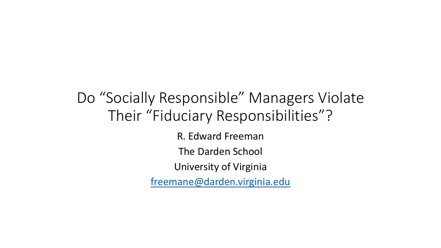## Do "Socially Responsible" Managers Violate Their "Fiduciary Responsibilities"?

R. Edward Freeman The Darden School University of Virginia [freemane@darden.virginia.edu](mailto:freemane@darden.virginia.edu)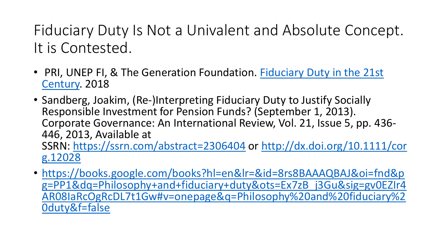## Fiduciary Duty Is Not a Univalent and Absolute Concept. It is Contested.

- [PRI, UNEP FI, & The Generation Foundation.](https://www.fiduciaryduty21.org/) Fiduciary Duty in the 21st Century. 2018
- Sandberg, Joakim, (Re‐)Interpreting Fiduciary Duty to Justify Socially Responsible Investment for Pension Funds? (September 1, 2013). Corporate Governance: An International Review, Vol. 21, Issue 5, pp. 436- 446, 2013, Available at SSRN: [https://ssrn.com/abstract=2306404](https://dx.doi.org/10.1111/corg.12028) or http://dx.doi.org/10.1111/cor g.12028
- https://books.google.com/books?hl=en&lr=&id=8rs8BAAAQBAJ&oi=fnd&p [g=PP1&dq=Philosophy+and+fiduciary+duty&ots=Ex7zB\\_j3Gu&sig=gv0EZIr4](https://books.google.com/books?hl=en&lr=&id=8rs8BAAAQBAJ&oi=fnd&pg=PP1&dq=Philosophy+and+fiduciary+duty&ots=Ex7zB_j3Gu&sig=gv0EZIr4AR08IaRcOgRcDL7t1Gw#v=onepage&q=Philosophy%20and%20fiduciary%20duty&f=false) AR08IaRcOgRcDL7t1Gw#v=onepage&q=Philosophy%20and%20fiduciary%2 0duty&f=false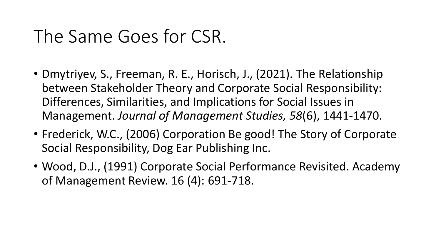## The Same Goes for CSR.

- Dmytriyev, S., Freeman, R. E., Horisch, J., (2021). The Relationship between Stakeholder Theory and Corporate Social Responsibility: Differences, Similarities, and Implications for Social Issues in Management. *Journal of Management Studies, 58*(6), 1441-1470.
- Frederick, W.C., (2006) Corporation Be good! The Story of Corporate Social Responsibility, Dog Ear Publishing Inc.
- Wood, D.J., (1991) Corporate Social Performance Revisited. Academy of Management Review. 16 (4): 691-718.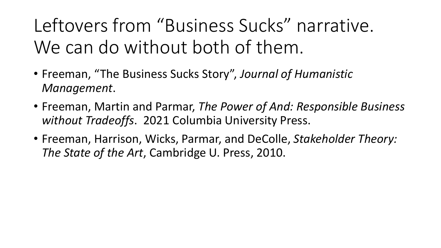Leftovers from "Business Sucks" narrative. We can do without both of them.

- Freeman, "The Business Sucks Story", *Journal of Humanistic Management*.
- Freeman, Martin and Parmar, *The Power of And: Responsible Business without Tradeoffs*. 2021 Columbia University Press.
- Freeman, Harrison, Wicks, Parmar, and DeColle, *Stakeholder Theory: The State of the Art*, Cambridge U. Press, 2010.